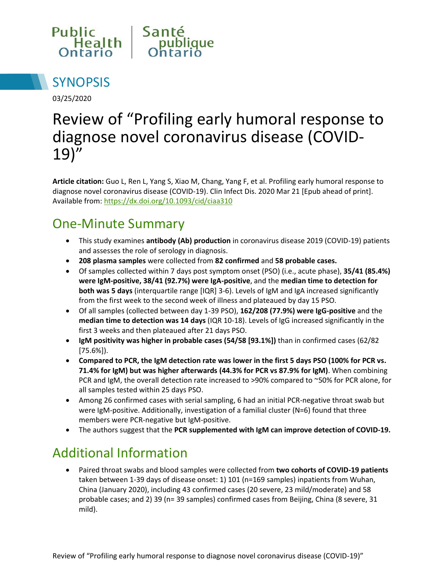



03/25/2020

# Review of "Profiling early humoral response to diagnose novel coronavirus disease (COVID-19)"

**Article citation:** Guo L, Ren L, Yang S, Xiao M, Chang, Yang F, et al. Profiling early humoral response to diagnose novel coronavirus disease (COVID-19). Clin Infect Dis. 2020 Mar 21 [Epub ahead of print]. Available from[: https://dx.doi.org/10.1093/cid/ciaa310](https://dx.doi.org/10.1093/cid/ciaa310)

### One-Minute Summary

- This study examines **antibody (Ab) production** in coronavirus disease 2019 (COVID-19) patients and assesses the role of serology in diagnosis.
- **208 plasma samples** were collected from **82 confirmed** and **58 probable cases.**
- Of samples collected within 7 days post symptom onset (PSO) (i.e., acute phase), **35/41 (85.4%) were IgM-positive, 38/41 (92.7%) were IgA-positive**, and the **median time to detection for both was 5 days** (interquartile range [IQR] 3-6). Levels of IgM and IgA increased significantly from the first week to the second week of illness and plateaued by day 15 PSO.
- Of all samples (collected between day 1-39 PSO), **162/208 (77.9%) were IgG-positive** and the **median time to detection was 14 days** (IQR 10-18). Levels of IgG increased significantly in the first 3 weeks and then plateaued after 21 days PSO.
- **IgM positivity was higher in probable cases (54/58 [93.1%])** than in confirmed cases (62/82 [75.6%]).
- **Compared to PCR, the IgM detection rate was lower in the first 5 days PSO (100% for PCR vs. 71.4% for IgM) but was higher afterwards (44.3% for PCR vs 87.9% for IgM)**. When combining PCR and IgM, the overall detection rate increased to >90% compared to ~50% for PCR alone, for all samples tested within 25 days PSO.
- Among 26 confirmed cases with serial sampling, 6 had an initial PCR-negative throat swab but were IgM-positive. Additionally, investigation of a familial cluster (N=6) found that three members were PCR-negative but IgM-positive.
- The authors suggest that the **PCR supplemented with IgM can improve detection of COVID-19.**

### Additional Information

 Paired throat swabs and blood samples were collected from **two cohorts of COVID-19 patients**  taken between 1-39 days of disease onset: 1) 101 (n=169 samples) inpatients from Wuhan, China (January 2020), including 43 confirmed cases (20 severe, 23 mild/moderate) and 58 probable cases; and 2) 39 (n= 39 samples) confirmed cases from Beijing, China (8 severe, 31 mild).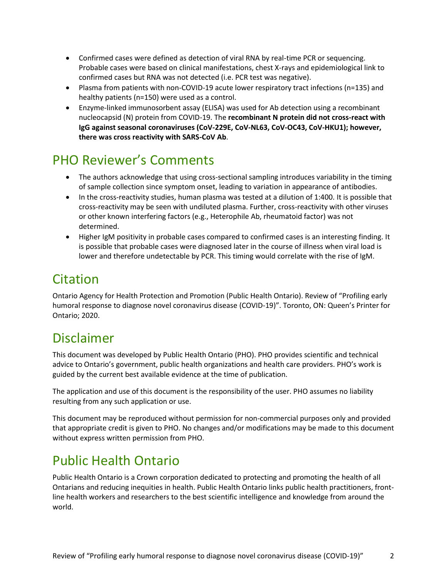- Confirmed cases were defined as detection of viral RNA by real-time PCR or sequencing. Probable cases were based on clinical manifestations, chest X-rays and epidemiological link to confirmed cases but RNA was not detected (i.e. PCR test was negative).
- Plasma from patients with non-COVID-19 acute lower respiratory tract infections (n=135) and healthy patients (n=150) were used as a control.
- Enzyme-linked immunosorbent assay (ELISA) was used for Ab detection using a recombinant nucleocapsid (N) protein from COVID-19. The **recombinant N protein did not cross-react with IgG against seasonal coronaviruses (CoV-229E, CoV-NL63, CoV-OC43, CoV-HKU1); however, there was cross reactivity with SARS-CoV Ab**.

## PHO Reviewer's Comments

- The authors acknowledge that using cross-sectional sampling introduces variability in the timing of sample collection since symptom onset, leading to variation in appearance of antibodies.
- In the cross-reactivity studies, human plasma was tested at a dilution of 1:400. It is possible that cross-reactivity may be seen with undiluted plasma. Further, cross-reactivity with other viruses or other known interfering factors (e.g., Heterophile Ab, rheumatoid factor) was not determined.
- Higher IgM positivity in probable cases compared to confirmed cases is an interesting finding. It is possible that probable cases were diagnosed later in the course of illness when viral load is lower and therefore undetectable by PCR. This timing would correlate with the rise of IgM.

## Citation

Ontario Agency for Health Protection and Promotion (Public Health Ontario). Review of "Profiling early humoral response to diagnose novel coronavirus disease (COVID-19)". Toronto, ON: Queen's Printer for Ontario; 2020.

### Disclaimer

This document was developed by Public Health Ontario (PHO). PHO provides scientific and technical advice to Ontario's government, public health organizations and health care providers. PHO's work is guided by the current best available evidence at the time of publication.

The application and use of this document is the responsibility of the user. PHO assumes no liability resulting from any such application or use.

This document may be reproduced without permission for non-commercial purposes only and provided that appropriate credit is given to PHO. No changes and/or modifications may be made to this document without express written permission from PHO.

## Public Health Ontario

Public Health Ontario is a Crown corporation dedicated to protecting and promoting the health of all Ontarians and reducing inequities in health. Public Health Ontario links public health practitioners, frontline health workers and researchers to the best scientific intelligence and knowledge from around the world.